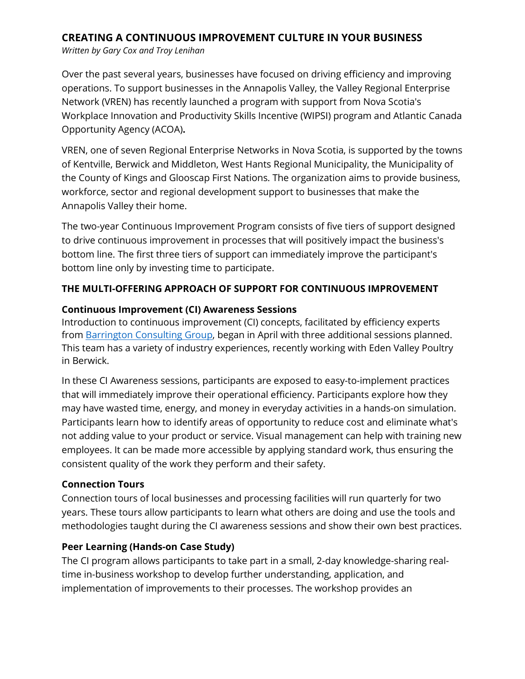# **CREATING A CONTINUOUS IMPROVEMENT CULTURE IN YOUR BUSINESS**

*Written by Gary Cox and Troy Lenihan*

Over the past several years, businesses have focused on driving efficiency and improving operations. To support businesses in the Annapolis Valley, the Valley Regional Enterprise Network (VREN) has recently launched a program with support from Nova Scotia's Workplace Innovation and Productivity Skills Incentive (WIPSI) program and Atlantic Canada Opportunity Agency (ACOA)**.** 

VREN, one of seven Regional Enterprise Networks in Nova Scotia, is supported by the towns of Kentville, Berwick and Middleton, West Hants Regional Municipality, the Municipality of the County of Kings and Glooscap First Nations. The organization aims to provide business, workforce, sector and regional development support to businesses that make the Annapolis Valley their home.

The two-year Continuous Improvement Program consists of five tiers of support designed to drive continuous improvement in processes that will positively impact the business's bottom line. The first three tiers of support can immediately improve the participant's bottom line only by investing time to participate.

### **THE MULTI-OFFERING APPROACH OF SUPPORT FOR CONTINUOUS IMPROVEMENT**

#### **Continuous Improvement (CI) Awareness Sessions**

Introduction to continuous improvement (CI) concepts, facilitated by efficiency experts from [Barrington Consulting Group,](https://barringtongrp.ca/services/operations-and-lean-six-sigma-lss/) began in April with three additional sessions planned. This team has a variety of industry experiences, recently working with Eden Valley Poultry in Berwick.

In these CI Awareness sessions, participants are exposed to easy-to-implement practices that will immediately improve their operational efficiency. Participants explore how they may have wasted time, energy, and money in everyday activities in a hands-on simulation. Participants learn how to identify areas of opportunity to reduce cost and eliminate what's not adding value to your product or service. Visual management can help with training new employees. It can be made more accessible by applying standard work, thus ensuring the consistent quality of the work they perform and their safety.

#### **Connection Tours**

Connection tours of local businesses and processing facilities will run quarterly for two years. These tours allow participants to learn what others are doing and use the tools and methodologies taught during the CI awareness sessions and show their own best practices.

#### **Peer Learning (Hands-on Case Study)**

The CI program allows participants to take part in a small, 2-day knowledge-sharing realtime in-business workshop to develop further understanding, application, and implementation of improvements to their processes. The workshop provides an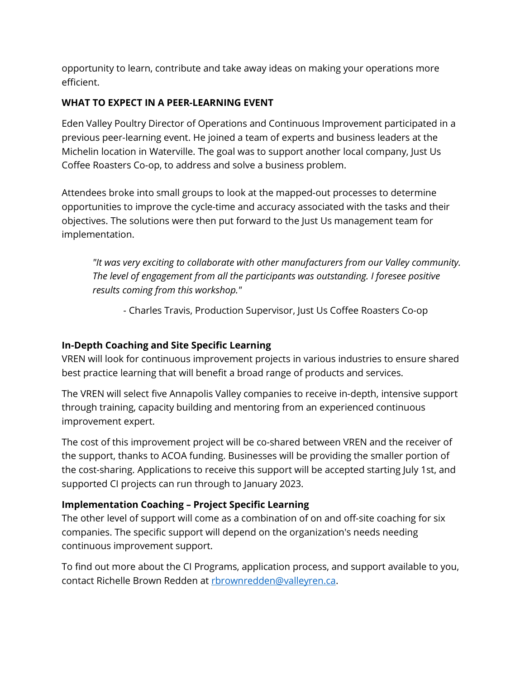opportunity to learn, contribute and take away ideas on making your operations more efficient.

### **WHAT TO EXPECT IN A PEER-LEARNING EVENT**

Eden Valley Poultry Director of Operations and Continuous Improvement participated in a previous peer-learning event. He joined a team of experts and business leaders at the Michelin location in Waterville. The goal was to support another local company, Just Us Coffee Roasters Co-op, to address and solve a business problem.

Attendees broke into small groups to look at the mapped-out processes to determine opportunities to improve the cycle-time and accuracy associated with the tasks and their objectives. The solutions were then put forward to the Just Us management team for implementation.

*"It was very exciting to collaborate with other manufacturers from our Valley community. The level of engagement from all the participants was outstanding. I foresee positive results coming from this workshop."*

*-* Charles Travis, Production Supervisor, Just Us Coffee Roasters Co-op

# **In-Depth Coaching and Site Specific Learning**

VREN will look for continuous improvement projects in various industries to ensure shared best practice learning that will benefit a broad range of products and services.

The VREN will select five Annapolis Valley companies to receive in-depth, intensive support through training, capacity building and mentoring from an experienced continuous improvement expert.

The cost of this improvement project will be co-shared between VREN and the receiver of the support, thanks to ACOA funding. Businesses will be providing the smaller portion of the cost-sharing. Applications to receive this support will be accepted starting July 1st, and supported CI projects can run through to January 2023.

# **Implementation Coaching – Project Specific Learning**

The other level of support will come as a combination of on and off-site coaching for six companies. The specific support will depend on the organization's needs needing continuous improvement support.

To find out more about the CI Programs, application process, and support available to you, contact Richelle Brown Redden at [rbrownredden@valleyren.ca.](mailto:rbrownredden@valleyren.ca)